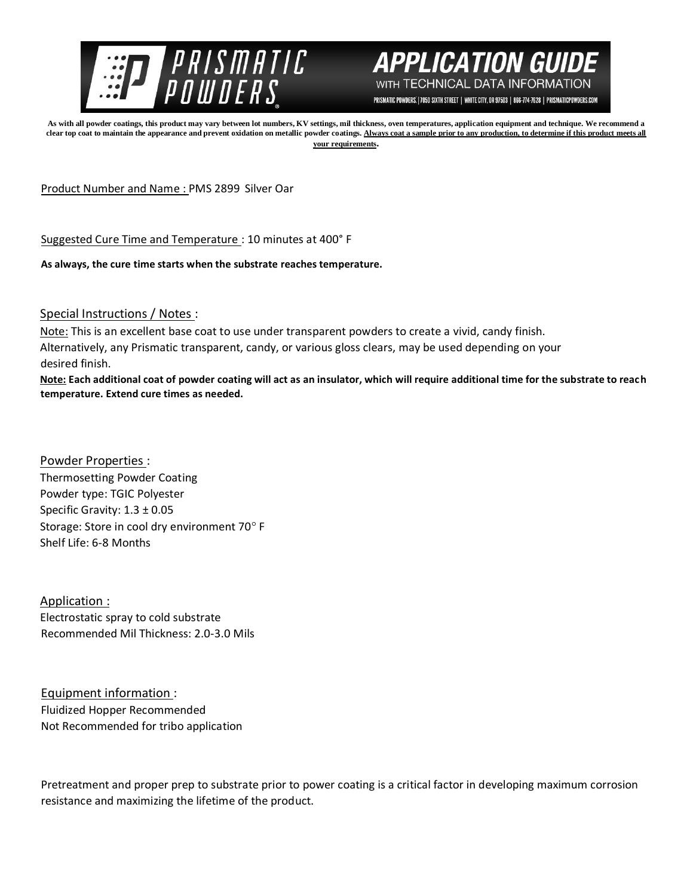



PRISMATIC POWDERS. | 7050 SIXTH STREET | WHITE CITY, OR 97503 | 866-774-7628 | PRISMATICPOWDERS.COM

**As with all powder coatings, this product may vary between lot numbers, KV settings, mil thickness, oven temperatures, application equipment and technique. We recommend a**  clear top coat to maintain the appearance and prevent oxidation on metallic powder coatings. Always coat a sample prior to any production, to determine if this product meets all **your requirements.** 

Product Number and Name : PMS 2899 Silver Oar

Suggested Cure Time and Temperature : 10 minutes at 400° F

**As always, the cure time starts when the substrate reaches temperature.**

Special Instructions / Notes :

Note: This is an excellent base coat to use under transparent powders to create a vivid, candy finish. Alternatively, any Prismatic transparent, candy, or various gloss clears, may be used depending on your desired finish.

**Note: Each additional coat of powder coating will act as an insulator, which will require additional time for the substrate to reach temperature. Extend cure times as needed.** 

Powder Properties : Thermosetting Powder Coating Powder type: TGIC Polyester Specific Gravity: 1.3 ± 0.05 Storage: Store in cool dry environment 70° F Shelf Life: 6-8 Months

Application : Electrostatic spray to cold substrate Recommended Mil Thickness: 2.0-3.0 Mils

Equipment information : Fluidized Hopper Recommended Not Recommended for tribo application

Pretreatment and proper prep to substrate prior to power coating is a critical factor in developing maximum corrosion resistance and maximizing the lifetime of the product.